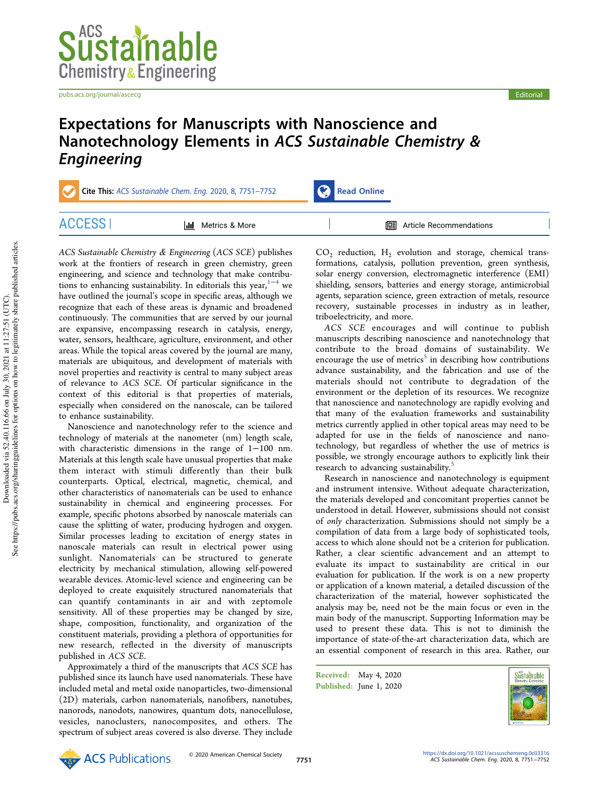

pubs.acs.org/journal/ascecg entertainment of the control of the control of the control entertainment of the control of the control of the control of the control of the control of the control of the control of the control o

# Expectations for Manuscripts with Nanoscience and Nanotechnology Elements in ACS Sustainable Chemistry & Engineering

ACCESS | III Metrics & More | THE Article Recommendations

Cite This: ACS Sustainable Chem. Eng. 2020, 8, 7751-7752 Read Online

ACS Sustainable Chemistry & Engineering (ACS SCE) publishes work at the frontiers of research in green chemistry, green engineering, and science and technology that make contributions to enhancing sustainability. In editorials this year, $1-4$  we have outlined the journal's scope in specific areas, although we recognize that each of these areas is dynamic and broadened continuously. The communities that are served by our journal are expansive, encompassing research in catalysis, energy, water, sensors, healthcare, agriculture, environment, and other areas. While the topical areas covered by the journal are many, materials are ubiquitous, and development of materials with novel properties and reactivity is central to many subject areas of relevance to ACS SCE. Of particular significance in the context of this editorial is that properties of materials, especially when considered on the nanoscale, can be tailored

to enhance sustainability. Nanoscience and nanotechnology refer to the science and technology of materials at the nanometer (nm) length scale, with characteristic dimensions in the range of 1−100 nm. Materials at this length scale have unusual properties that make them interact with stimuli differently than their bulk counterparts. Optical, electrical, magnetic, chemical, and other characteristics of nanomaterials can be used to enhance sustainability in chemical and engineering processes. For example, specific photons absorbed by nanoscale materials can cause the splitting of water, producing hydrogen and oxygen. Similar processes leading to excitation of energy states in nanoscale materials can result in electrical power using sunlight. Nanomaterials can be structured to generate electricity by mechanical stimulation, allowing self-powered wearable devices. Atomic-level science and engineering can be deployed to create exquisitely structured nanomaterials that can quantify contaminants in air and with zeptomole sensitivity. All of these properties may be changed by size, shape, composition, functionality, and organization of the constituent materials, providing a plethora of opportunities for new research, reflected in the diversity of manuscripts published in ACS SCE.

Approximately a third of the manuscripts that ACS SCE has published since its launch have used nanomaterials. These have included metal and metal oxide nanoparticles, two-dimensional (2D) materials, carbon nanomaterials, nanofibers, nanotubes, nanorods, nanodots, nanowires, quantum dots, nanocellulose, vesicles, nanoclusters, nanocomposites, and others. The spectrum of subject areas covered is also diverse. They include

 $CO<sub>2</sub>$  reduction,  $H<sub>2</sub>$  evolution and storage, chemical transformations, catalysis, pollution prevention, green synthesis, solar energy conversion, electromagnetic interference (EMI) shielding, sensors, batteries and energy storage, antimicrobial agents, separation science, green extraction of metals, resource recovery, sustainable processes in industry as in leather, triboelectricity, and more.

ACS SCE encourages and will continue to publish manuscripts describing nanoscience and nanotechnology that contribute to the broad domains of sustainability. We encourage the use of metrics<sup>5</sup> in describing how contributions advance sustainability, and the fabrication and use of the materials should not contribute to degradation of the environment or the depletion of its resources. We recognize that nanoscience and nanotechnology are rapidly evolving and that many of the evaluation frameworks and sustainability metrics currently applied in other topical areas may need to be adapted for use in the fields of nanoscience and nanotechnology, but regardless of whether the use of metrics is possible, we strongly encourage authors to explicitly link their research to advancing sustainability.<sup>5</sup>

Research in nanoscience and nanotechnology is equipment and instrument intensive. Without adequate characterization, the materials developed and concomitant properties cannot be understood in detail. However, submissions should not consist of only characterization. Submissions should not simply be a compilation of data from a large body of sophisticated tools, access to which alone should not be a criterion for publication. Rather, a clear scientific advancement and an attempt to evaluate its impact to sustainability are critical in our evaluation for publication. If the work is on a new property or application of a known material, a detailed discussion of the characterization of the material, however sophisticated the analysis may be, need not be the main focus or even in the main body of the manuscript. Supporting Information may be used to present these data. This is not to diminish the importance of state-of-the-art characterization data, which are an essential component of research in this area. Rather, our

Received: May 4, 2020 Published: June 1, 2020